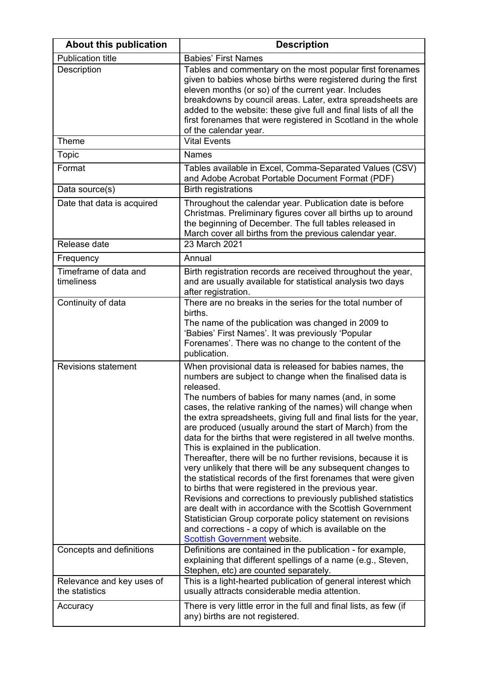| About this publication                      | <b>Description</b>                                                                                                                                                                                                                                                                                                                                                                                                                                                                                                                                                                                                                                                                                                                                                                                                                                                                                                                                                                                                                                    |
|---------------------------------------------|-------------------------------------------------------------------------------------------------------------------------------------------------------------------------------------------------------------------------------------------------------------------------------------------------------------------------------------------------------------------------------------------------------------------------------------------------------------------------------------------------------------------------------------------------------------------------------------------------------------------------------------------------------------------------------------------------------------------------------------------------------------------------------------------------------------------------------------------------------------------------------------------------------------------------------------------------------------------------------------------------------------------------------------------------------|
| <b>Publication title</b>                    | <b>Babies' First Names</b>                                                                                                                                                                                                                                                                                                                                                                                                                                                                                                                                                                                                                                                                                                                                                                                                                                                                                                                                                                                                                            |
| Description                                 | Tables and commentary on the most popular first forenames<br>given to babies whose births were registered during the first<br>eleven months (or so) of the current year. Includes<br>breakdowns by council areas. Later, extra spreadsheets are<br>added to the website: these give full and final lists of all the<br>first forenames that were registered in Scotland in the whole<br>of the calendar year.                                                                                                                                                                                                                                                                                                                                                                                                                                                                                                                                                                                                                                         |
| Theme                                       | <b>Vital Events</b>                                                                                                                                                                                                                                                                                                                                                                                                                                                                                                                                                                                                                                                                                                                                                                                                                                                                                                                                                                                                                                   |
| <b>Topic</b>                                | <b>Names</b>                                                                                                                                                                                                                                                                                                                                                                                                                                                                                                                                                                                                                                                                                                                                                                                                                                                                                                                                                                                                                                          |
| Format                                      | Tables available in Excel, Comma-Separated Values (CSV)<br>and Adobe Acrobat Portable Document Format (PDF)                                                                                                                                                                                                                                                                                                                                                                                                                                                                                                                                                                                                                                                                                                                                                                                                                                                                                                                                           |
| Data source(s)                              | <b>Birth registrations</b>                                                                                                                                                                                                                                                                                                                                                                                                                                                                                                                                                                                                                                                                                                                                                                                                                                                                                                                                                                                                                            |
| Date that data is acquired                  | Throughout the calendar year. Publication date is before<br>Christmas. Preliminary figures cover all births up to around<br>the beginning of December. The full tables released in<br>March cover all births from the previous calendar year.                                                                                                                                                                                                                                                                                                                                                                                                                                                                                                                                                                                                                                                                                                                                                                                                         |
| Release date                                | 23 March 2021                                                                                                                                                                                                                                                                                                                                                                                                                                                                                                                                                                                                                                                                                                                                                                                                                                                                                                                                                                                                                                         |
| Frequency                                   | Annual                                                                                                                                                                                                                                                                                                                                                                                                                                                                                                                                                                                                                                                                                                                                                                                                                                                                                                                                                                                                                                                |
| Timeframe of data and<br>timeliness         | Birth registration records are received throughout the year,<br>and are usually available for statistical analysis two days<br>after registration.                                                                                                                                                                                                                                                                                                                                                                                                                                                                                                                                                                                                                                                                                                                                                                                                                                                                                                    |
| Continuity of data                          | There are no breaks in the series for the total number of<br>births.<br>The name of the publication was changed in 2009 to<br>'Babies' First Names'. It was previously 'Popular<br>Forenames'. There was no change to the content of the<br>publication.                                                                                                                                                                                                                                                                                                                                                                                                                                                                                                                                                                                                                                                                                                                                                                                              |
| <b>Revisions statement</b>                  | When provisional data is released for babies names, the<br>numbers are subject to change when the finalised data is<br>released.<br>The numbers of babies for many names (and, in some<br>cases, the relative ranking of the names) will change when<br>the extra spreadsheets, giving full and final lists for the year,<br>are produced (usually around the start of March) from the<br>data for the births that were registered in all twelve months.<br>This is explained in the publication.<br>Thereafter, there will be no further revisions, because it is<br>very unlikely that there will be any subsequent changes to<br>the statistical records of the first forenames that were given<br>to births that were registered in the previous year.<br>Revisions and corrections to previously published statistics<br>are dealt with in accordance with the Scottish Government<br>Statistician Group corporate policy statement on revisions<br>and corrections - a copy of which is available on the<br><b>Scottish Government website.</b> |
| Concepts and definitions                    | Definitions are contained in the publication - for example,<br>explaining that different spellings of a name (e.g., Steven,<br>Stephen, etc) are counted separately.                                                                                                                                                                                                                                                                                                                                                                                                                                                                                                                                                                                                                                                                                                                                                                                                                                                                                  |
| Relevance and key uses of<br>the statistics | This is a light-hearted publication of general interest which<br>usually attracts considerable media attention.                                                                                                                                                                                                                                                                                                                                                                                                                                                                                                                                                                                                                                                                                                                                                                                                                                                                                                                                       |
| Accuracy                                    | There is very little error in the full and final lists, as few (if<br>any) births are not registered.                                                                                                                                                                                                                                                                                                                                                                                                                                                                                                                                                                                                                                                                                                                                                                                                                                                                                                                                                 |